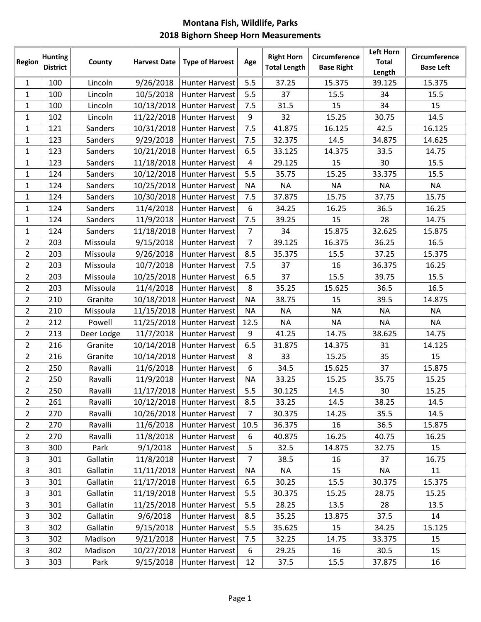|                | <b>Hunting</b>  |            | <b>Harvest Date</b> |                             |                | <b>Right Horn</b>   | Circumference     | <b>Left Horn</b>       | Circumference    |
|----------------|-----------------|------------|---------------------|-----------------------------|----------------|---------------------|-------------------|------------------------|------------------|
| Region         | <b>District</b> | County     |                     | <b>Type of Harvest</b>      | Age            | <b>Total Length</b> | <b>Base Right</b> | <b>Total</b><br>Length | <b>Base Left</b> |
| $\mathbf{1}$   | 100             | Lincoln    | 9/26/2018           | <b>Hunter Harvest</b>       | 5.5            | 37.25               | 15.375            | 39.125                 | 15.375           |
| $\mathbf{1}$   | 100             | Lincoln    | 10/5/2018           | <b>Hunter Harvest</b>       | 5.5            | 37                  | 15.5              | 34                     | 15.5             |
| $\mathbf{1}$   | 100             | Lincoln    | 10/13/2018          | <b>Hunter Harvest</b>       | 7.5            | 31.5                | 15                | 34                     | 15               |
| $\mathbf{1}$   | 102             | Lincoln    | 11/22/2018          | <b>Hunter Harvest</b>       | 9              | 32                  | 15.25             | 30.75                  | 14.5             |
| $\mathbf{1}$   | 121             | Sanders    | 10/31/2018          | <b>Hunter Harvest</b>       | 7.5            | 41.875              | 16.125            | 42.5                   | 16.125           |
| $\mathbf{1}$   | 123             | Sanders    | 9/29/2018           | <b>Hunter Harvest</b>       | 7.5            | 32.375              | 14.5              | 34.875                 | 14.625           |
| $\mathbf{1}$   | 123             | Sanders    | 10/21/2018          | <b>Hunter Harvest</b>       | 6.5            | 33.125              | 14.375            | 33.5                   | 14.75            |
| $\mathbf{1}$   | 123             | Sanders    | 11/18/2018          | <b>Hunter Harvest</b>       | $\overline{4}$ | 29.125              | 15                | 30                     | 15.5             |
| $\mathbf{1}$   | 124             | Sanders    | 10/12/2018          | <b>Hunter Harvest</b>       | 5.5            | 35.75               | 15.25             | 33.375                 | 15.5             |
| $\mathbf{1}$   | 124             | Sanders    | 10/25/2018          | <b>Hunter Harvest</b>       | <b>NA</b>      | <b>NA</b>           | <b>NA</b>         | <b>NA</b>              | <b>NA</b>        |
| $\mathbf{1}$   | 124             | Sanders    | 10/30/2018          | <b>Hunter Harvest</b>       | 7.5            | 37.875              | 15.75             | 37.75                  | 15.75            |
| $\mathbf{1}$   | 124             | Sanders    | 11/4/2018           | <b>Hunter Harvest</b>       | 6              | 34.25               | 16.25             | 36.5                   | 16.25            |
| $\mathbf{1}$   | 124             | Sanders    | 11/9/2018           | <b>Hunter Harvest</b>       | 7.5            | 39.25               | 15                | 28                     | 14.75            |
| $\mathbf{1}$   | 124             | Sanders    | 11/18/2018          | <b>Hunter Harvest</b>       | $\overline{7}$ | 34                  | 15.875            | 32.625                 | 15.875           |
| $\overline{2}$ | 203             | Missoula   | 9/15/2018           | <b>Hunter Harvest</b>       | $\overline{7}$ | 39.125              | 16.375            | 36.25                  | 16.5             |
| $\overline{2}$ | 203             | Missoula   | 9/26/2018           | <b>Hunter Harvest</b>       | 8.5            | 35.375              | 15.5              | 37.25                  | 15.375           |
| $\overline{2}$ | 203             | Missoula   | 10/7/2018           | <b>Hunter Harvest</b>       | 7.5            | 37                  | 16                | 36.375                 | 16.25            |
| $\overline{2}$ | 203             | Missoula   | 10/25/2018          | <b>Hunter Harvest</b>       | 6.5            | 37                  | 15.5              | 39.75                  | 15.5             |
| $\overline{2}$ | 203             | Missoula   | 11/4/2018           | <b>Hunter Harvest</b>       | 8              | 35.25               | 15.625            | 36.5                   | 16.5             |
| $\overline{2}$ | 210             | Granite    | 10/18/2018          | <b>Hunter Harvest</b>       | <b>NA</b>      | 38.75               | 15                | 39.5                   | 14.875           |
| $\overline{2}$ | 210             | Missoula   | 11/15/2018          | <b>Hunter Harvest</b>       | <b>NA</b>      | <b>NA</b>           | <b>NA</b>         | <b>NA</b>              | <b>NA</b>        |
| $\overline{2}$ | 212             | Powell     | 11/25/2018          | Hunter Harvest              | 12.5           | <b>NA</b>           | <b>NA</b>         | <b>NA</b>              | <b>NA</b>        |
| $\overline{2}$ | 213             | Deer Lodge | 11/7/2018           | <b>Hunter Harvest</b>       | 9              | 41.25               | 14.75             | 38.625                 | 14.75            |
| $\overline{2}$ | 216             | Granite    | 10/14/2018          | <b>Hunter Harvest</b>       | 6.5            | 31.875              | 14.375            | 31                     | 14.125           |
| $\overline{2}$ | 216             | Granite    | 10/14/2018          | <b>Hunter Harvest</b>       | 8              | 33                  | 15.25             | 35                     | 15               |
| $\overline{2}$ | 250             | Ravalli    | 11/6/2018           | <b>Hunter Harvest</b>       | 6              | 34.5                | 15.625            | 37                     | 15.875           |
| $\overline{2}$ | 250             | Ravalli    | 11/9/2018           | <b>Hunter Harvest</b>       | <b>NA</b>      | 33.25               | 15.25             | 35.75                  | 15.25            |
| $\overline{2}$ | 250             | Ravalli    | 11/17/2018          | <b>Hunter Harvest</b>       | 5.5            | 30.125              | 14.5              | 30                     | 15.25            |
| $\overline{2}$ | 261             | Ravalli    |                     | 10/12/2018   Hunter Harvest | 8.5            | 33.25               | 14.5              | 38.25                  | 14.5             |
| $\overline{2}$ | 270             | Ravalli    | 10/26/2018          | <b>Hunter Harvest</b>       | $\overline{7}$ | 30.375              | 14.25             | 35.5                   | 14.5             |
| $\overline{2}$ | 270             | Ravalli    | 11/6/2018           | Hunter Harvest              | 10.5           | 36.375              | 16                | 36.5                   | 15.875           |
| $\overline{2}$ | 270             | Ravalli    | 11/8/2018           | <b>Hunter Harvest</b>       | 6              | 40.875              | 16.25             | 40.75                  | 16.25            |
| $\mathsf{3}$   | 300             | Park       | 9/1/2018            | <b>Hunter Harvest</b>       | 5              | 32.5                | 14.875            | 32.75                  | 15               |
| 3              | 301             | Gallatin   | 11/8/2018           | Hunter Harvest              | $\overline{7}$ | 38.5                | 16                | 37                     | 16.75            |
| 3              | 301             | Gallatin   | 11/11/2018          | <b>Hunter Harvest</b>       | <b>NA</b>      | <b>NA</b>           | 15                | <b>NA</b>              | 11               |
| 3              | 301             | Gallatin   | 11/17/2018          | <b>Hunter Harvest</b>       | 6.5            | 30.25               | 15.5              | 30.375                 | 15.375           |
| 3              | 301             | Gallatin   | 11/19/2018          | Hunter Harvest              | 5.5            | 30.375              | 15.25             | 28.75                  | 15.25            |
| 3              | 301             | Gallatin   | 11/25/2018          | <b>Hunter Harvest</b>       | 5.5            | 28.25               | 13.5              | 28                     | 13.5             |
| 3              | 302             | Gallatin   | 9/6/2018            | Hunter Harvest              | 8.5            | 35.25               | 13.875            | 37.5                   | 14               |
| 3              | 302             | Gallatin   | 9/15/2018           | <b>Hunter Harvest</b>       | 5.5            | 35.625              | 15                | 34.25                  | 15.125           |
| 3              | 302             | Madison    | 9/21/2018           | Hunter Harvest              | 7.5            | 32.25               | 14.75             | 33.375                 | 15               |
| $\mathsf{3}$   | 302             | Madison    | 10/27/2018          | <b>Hunter Harvest</b>       | 6              | 29.25               | 16                | 30.5                   | 15               |
| 3              | 303             | Park       | 9/15/2018           | <b>Hunter Harvest</b>       | 12             | 37.5                | 15.5              | 37.875                 | 16               |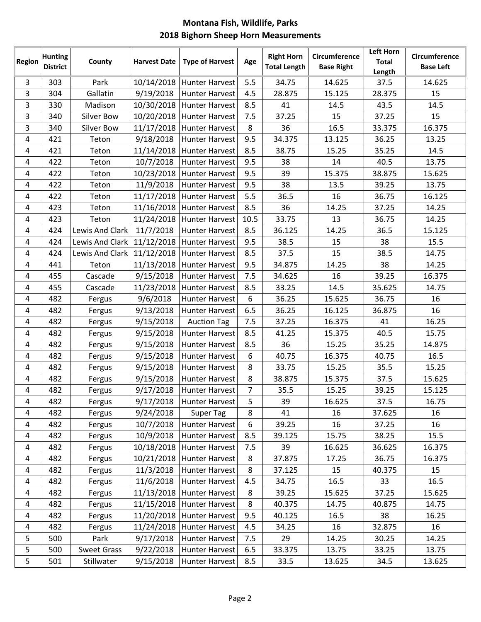| Region         | <b>Hunting</b><br><b>District</b> | County             | <b>Harvest Date</b> | <b>Type of Harvest</b> | Age            | <b>Right Horn</b><br><b>Total Length</b> | Circumference<br><b>Base Right</b> | <b>Left Horn</b><br><b>Total</b><br>Length | Circumference<br><b>Base Left</b> |
|----------------|-----------------------------------|--------------------|---------------------|------------------------|----------------|------------------------------------------|------------------------------------|--------------------------------------------|-----------------------------------|
| 3              | 303                               | Park               | 10/14/2018          | <b>Hunter Harvest</b>  | 5.5            | 34.75                                    | 14.625                             | 37.5                                       | 14.625                            |
| 3              | 304                               | Gallatin           | 9/19/2018           | <b>Hunter Harvest</b>  | 4.5            | 28.875                                   | 15.125                             | 28.375                                     | 15                                |
| 3              | 330                               | Madison            | 10/30/2018          | <b>Hunter Harvest</b>  | 8.5            | 41                                       | 14.5                               | 43.5                                       | 14.5                              |
| 3              | 340                               | <b>Silver Bow</b>  | 10/20/2018          | <b>Hunter Harvest</b>  | 7.5            | 37.25                                    | 15                                 | 37.25                                      | 15                                |
| 3              | 340                               | Silver Bow         | 11/17/2018          | <b>Hunter Harvest</b>  | 8              | 36                                       | 16.5                               | 33.375                                     | 16.375                            |
| 4              | 421                               | Teton              | 9/18/2018           | <b>Hunter Harvest</b>  | 9.5            | 34.375                                   | 13.125                             | 36.25                                      | 13.25                             |
| 4              | 421                               | Teton              | 11/14/2018          | <b>Hunter Harvest</b>  | 8.5            | 38.75                                    | 15.25                              | 35.25                                      | 14.5                              |
| 4              | 422                               | Teton              | 10/7/2018           | <b>Hunter Harvest</b>  | 9.5            | 38                                       | 14                                 | 40.5                                       | 13.75                             |
| 4              | 422                               | Teton              | 10/23/2018          | <b>Hunter Harvest</b>  | 9.5            | 39                                       | 15.375                             | 38.875                                     | 15.625                            |
| 4              | 422                               | Teton              | 11/9/2018           | <b>Hunter Harvest</b>  | 9.5            | 38                                       | 13.5                               | 39.25                                      | 13.75                             |
| 4              | 422                               | Teton              | 11/17/2018          | <b>Hunter Harvest</b>  | 5.5            | 36.5                                     | 16                                 | 36.75                                      | 16.125                            |
| 4              | 423                               | Teton              | 11/16/2018          | <b>Hunter Harvest</b>  | 8.5            | 36                                       | 14.25                              | 37.25                                      | 14.25                             |
| 4              | 423                               | Teton              | 11/24/2018          | Hunter Harvest         | 10.5           | 33.75                                    | 13                                 | 36.75                                      | 14.25                             |
| 4              | 424                               | Lewis And Clark    | 11/7/2018           | <b>Hunter Harvest</b>  | 8.5            | 36.125                                   | 14.25                              | 36.5                                       | 15.125                            |
| 4              | 424                               | Lewis And Clark    | 11/12/2018          | <b>Hunter Harvest</b>  | 9.5            | 38.5                                     | 15                                 | 38                                         | 15.5                              |
| 4              | 424                               | Lewis And Clark    | 11/12/2018          | <b>Hunter Harvest</b>  | 8.5            | 37.5                                     | 15                                 | 38.5                                       | 14.75                             |
| 4              | 441                               | Teton              | 11/13/2018          | <b>Hunter Harvest</b>  | 9.5            | 34.875                                   | 14.25                              | 38                                         | 14.25                             |
| 4              | 455                               | Cascade            | 9/15/2018           | <b>Hunter Harvest</b>  | 7.5            | 34.625                                   | 16                                 | 39.25                                      | 16.375                            |
| 4              | 455                               | Cascade            | 11/23/2018          | <b>Hunter Harvest</b>  | 8.5            | 33.25                                    | 14.5                               | 35.625                                     | 14.75                             |
| 4              | 482                               | Fergus             | 9/6/2018            | <b>Hunter Harvest</b>  | 6              | 36.25                                    | 15.625                             | 36.75                                      | 16                                |
| 4              | 482                               | Fergus             | 9/13/2018           | <b>Hunter Harvest</b>  | 6.5            | 36.25                                    | 16.125                             | 36.875                                     | 16                                |
| 4              | 482                               | Fergus             | 9/15/2018           | <b>Auction Tag</b>     | 7.5            | 37.25                                    | 16.375                             | 41                                         | 16.25                             |
| 4              | 482                               | Fergus             | 9/15/2018           | <b>Hunter Harvest</b>  | 8.5            | 41.25                                    | 15.375                             | 40.5                                       | 15.75                             |
| 4              | 482                               | Fergus             | 9/15/2018           | <b>Hunter Harvest</b>  | 8.5            | 36                                       | 15.25                              | 35.25                                      | 14.875                            |
| 4              | 482                               | Fergus             | 9/15/2018           | <b>Hunter Harvest</b>  | 6              | 40.75                                    | 16.375                             | 40.75                                      | 16.5                              |
| 4              | 482                               | Fergus             | 9/15/2018           | <b>Hunter Harvest</b>  | 8              | 33.75                                    | 15.25                              | 35.5                                       | 15.25                             |
| 4              | 482                               | Fergus             | 9/15/2018           | <b>Hunter Harvest</b>  | 8              | 38.875                                   | 15.375                             | 37.5                                       | 15.625                            |
| 4              | 482                               | Fergus             | 9/17/2018           | <b>Hunter Harvest</b>  | $\overline{7}$ | 35.5                                     | 15.25                              | 39.25                                      | 15.125                            |
| 4              | 482                               | Fergus             | 9/17/2018           | <b>Hunter Harvest</b>  | 5              | 39                                       | 16.625                             | 37.5                                       | 16.75                             |
| 4              | 482                               | Fergus             | 9/24/2018           | <b>Super Tag</b>       | 8              | 41                                       | 16                                 | 37.625                                     | 16                                |
| 4              | 482                               | Fergus             | 10/7/2018           | <b>Hunter Harvest</b>  | 6              | 39.25                                    | 16                                 | 37.25                                      | 16                                |
| 4              | 482                               | Fergus             | 10/9/2018           | <b>Hunter Harvest</b>  | 8.5            | 39.125                                   | 15.75                              | 38.25                                      | 15.5                              |
| 4              | 482                               | Fergus             | 10/18/2018          | <b>Hunter Harvest</b>  | 7.5            | 39                                       | 16.625                             | 36.625                                     | 16.375                            |
| 4              | 482                               | Fergus             | 10/21/2018          | <b>Hunter Harvest</b>  | 8              | 37.875                                   | 17.25                              | 36.75                                      | 16.375                            |
| $\overline{a}$ | 482                               | Fergus             | 11/3/2018           | <b>Hunter Harvest</b>  | 8              | 37.125                                   | 15                                 | 40.375                                     | 15                                |
| 4              | 482                               | Fergus             | 11/6/2018           | <b>Hunter Harvest</b>  | 4.5            | 34.75                                    | 16.5                               | 33                                         | 16.5                              |
| 4              | 482                               | Fergus             | 11/13/2018          | <b>Hunter Harvest</b>  | 8              | 39.25                                    | 15.625                             | 37.25                                      | 15.625                            |
| 4              | 482                               | Fergus             | 11/15/2018          | <b>Hunter Harvest</b>  | 8              | 40.375                                   | 14.75                              | 40.875                                     | 14.75                             |
| 4              | 482                               | Fergus             | 11/20/2018          | Hunter Harvest         | 9.5            | 40.125                                   | 16.5                               | 38                                         | 16.25                             |
| 4              | 482                               | Fergus             | 11/24/2018          | <b>Hunter Harvest</b>  | 4.5            | 34.25                                    | 16                                 | 32.875                                     | 16                                |
| 5              | 500                               | Park               | 9/17/2018           | <b>Hunter Harvest</b>  | 7.5            | 29                                       | 14.25                              | 30.25                                      | 14.25                             |
| 5              | 500                               | <b>Sweet Grass</b> | 9/22/2018           | <b>Hunter Harvest</b>  | 6.5            | 33.375                                   | 13.75                              | 33.25                                      | 13.75                             |
| 5              | 501                               | Stillwater         | 9/15/2018           | <b>Hunter Harvest</b>  | 8.5            | 33.5                                     | 13.625                             | 34.5                                       | 13.625                            |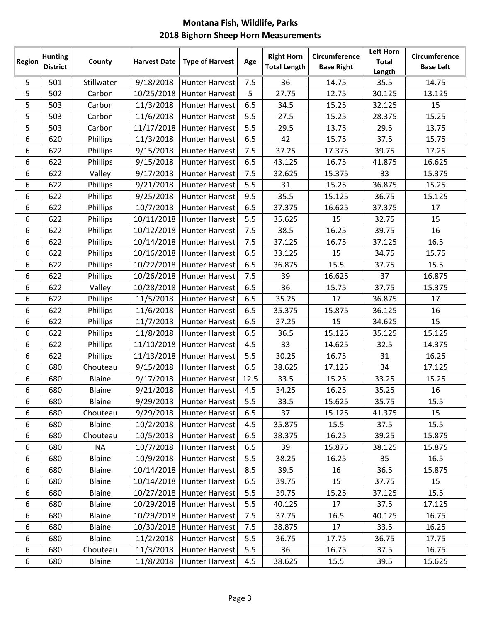| Region | <b>Hunting</b>  | County        | <b>Harvest Date</b> | <b>Type of Harvest</b>    | Age  | <b>Right Horn</b>   | <b>Circumference</b> | <b>Left Horn</b><br><b>Total</b> | Circumference    |
|--------|-----------------|---------------|---------------------|---------------------------|------|---------------------|----------------------|----------------------------------|------------------|
|        | <b>District</b> |               |                     |                           |      | <b>Total Length</b> | <b>Base Right</b>    | Length                           | <b>Base Left</b> |
| 5      | 501             | Stillwater    | 9/18/2018           | <b>Hunter Harvest</b>     | 7.5  | 36                  | 14.75                | 35.5                             | 14.75            |
| 5      | 502             | Carbon        | 10/25/2018          | <b>Hunter Harvest</b>     | 5    | 27.75               | 12.75                | 30.125                           | 13.125           |
| 5      | 503             | Carbon        | 11/3/2018           | <b>Hunter Harvest</b>     | 6.5  | 34.5                | 15.25                | 32.125                           | 15               |
| 5      | 503             | Carbon        | 11/6/2018           | <b>Hunter Harvest</b>     | 5.5  | 27.5                | 15.25                | 28.375                           | 15.25            |
| 5      | 503             | Carbon        | 11/17/2018          | <b>Hunter Harvest</b>     | 5.5  | 29.5                | 13.75                | 29.5                             | 13.75            |
| 6      | 620             | Phillips      | 11/3/2018           | <b>Hunter Harvest</b>     | 6.5  | 42                  | 15.75                | 37.5                             | 15.75            |
| 6      | 622             | Phillips      | 9/15/2018           | <b>Hunter Harvest</b>     | 7.5  | 37.25               | 17.375               | 39.75                            | 17.25            |
| 6      | 622             | Phillips      | 9/15/2018           | <b>Hunter Harvest</b>     | 6.5  | 43.125              | 16.75                | 41.875                           | 16.625           |
| 6      | 622             | Valley        | 9/17/2018           | <b>Hunter Harvest</b>     | 7.5  | 32.625              | 15.375               | 33                               | 15.375           |
| 6      | 622             | Phillips      | 9/21/2018           | <b>Hunter Harvest</b>     | 5.5  | 31                  | 15.25                | 36.875                           | 15.25            |
| 6      | 622             | Phillips      | 9/25/2018           | <b>Hunter Harvest</b>     | 9.5  | 35.5                | 15.125               | 36.75                            | 15.125           |
| 6      | 622             | Phillips      | 10/7/2018           | <b>Hunter Harvest</b>     | 6.5  | 37.375              | 16.625               | 37.375                           | 17               |
| 6      | 622             | Phillips      | 10/11/2018          | <b>Hunter Harvest</b>     | 5.5  | 35.625              | 15                   | 32.75                            | 15               |
| 6      | 622             | Phillips      | 10/12/2018          | <b>Hunter Harvest</b>     | 7.5  | 38.5                | 16.25                | 39.75                            | 16               |
| 6      | 622             | Phillips      | 10/14/2018          | <b>Hunter Harvest</b>     | 7.5  | 37.125              | 16.75                | 37.125                           | 16.5             |
| 6      | 622             | Phillips      | 10/16/2018          | <b>Hunter Harvest</b>     | 6.5  | 33.125              | 15                   | 34.75                            | 15.75            |
| 6      | 622             | Phillips      | 10/22/2018          | <b>Hunter Harvest</b>     | 6.5  | 36.875              | 15.5                 | 37.75                            | 15.5             |
| 6      | 622             | Phillips      | 10/26/2018          | <b>Hunter Harvest</b>     | 7.5  | 39                  | 16.625               | 37                               | 16.875           |
| 6      | 622             | Valley        | 10/28/2018          | <b>Hunter Harvest</b>     | 6.5  | 36                  | 15.75                | 37.75                            | 15.375           |
| 6      | 622             | Phillips      | 11/5/2018           | <b>Hunter Harvest</b>     | 6.5  | 35.25               | 17                   | 36.875                           | 17               |
| 6      | 622             | Phillips      | 11/6/2018           | <b>Hunter Harvest</b>     | 6.5  | 35.375              | 15.875               | 36.125                           | 16               |
| 6      | 622             | Phillips      | 11/7/2018           | <b>Hunter Harvest</b>     | 6.5  | 37.25               | 15                   | 34.625                           | 15               |
| 6      | 622             | Phillips      | 11/8/2018           | <b>Hunter Harvest</b>     | 6.5  | 36.5                | 15.125               | 35.125                           | 15.125           |
| 6      | 622             | Phillips      | 11/10/2018          | <b>Hunter Harvest</b>     | 4.5  | 33                  | 14.625               | 32.5                             | 14.375           |
| 6      | 622             | Phillips      | 11/13/2018          | <b>Hunter Harvest</b>     | 5.5  | 30.25               | 16.75                | 31                               | 16.25            |
| 6      | 680             | Chouteau      | 9/15/2018           | <b>Hunter Harvest</b>     | 6.5  | 38.625              | 17.125               | 34                               | 17.125           |
| 6      | 680             | Blaine        | 9/17/2018           | <b>Hunter Harvest</b>     | 12.5 | 33.5                | 15.25                | 33.25                            | 15.25            |
| 6      | 680             | Blaine        | 9/21/2018           | <b>Hunter Harvest</b>     | 4.5  | 34.25               | 16.25                | 35.25                            | 16               |
| 6      | 680             | <b>Blaine</b> | 9/29/2018           | <b>Hunter Harvest</b>     | 5.5  | 33.5                | 15.625               | 35.75                            | 15.5             |
| 6      | 680             | Chouteau      | 9/29/2018           | <b>Hunter Harvest</b>     | 6.5  | 37                  | 15.125               | 41.375                           | 15               |
| 6      | 680             | <b>Blaine</b> | 10/2/2018           | <b>Hunter Harvest</b>     | 4.5  | 35.875              | 15.5                 | 37.5                             | 15.5             |
| 6      | 680             | Chouteau      | 10/5/2018           | <b>Hunter Harvest</b>     | 6.5  | 38.375              | 16.25                | 39.25                            | 15.875           |
| 6      | 680             | <b>NA</b>     | 10/7/2018           | <b>Hunter Harvest</b>     | 6.5  | 39                  | 15.875               | 38.125                           | 15.875           |
| 6      | 680             | <b>Blaine</b> | 10/9/2018           | <b>Hunter Harvest</b>     | 5.5  | 38.25               | 16.25                | 35                               | 16.5             |
| 6      | 680             | <b>Blaine</b> | 10/14/2018          | <b>Hunter Harvest</b>     | 8.5  | 39.5                | 16                   | 36.5                             | 15.875           |
| 6      | 680             | <b>Blaine</b> | 10/14/2018          | <b>Hunter Harvest</b>     | 6.5  | 39.75               | 15                   | 37.75                            | 15               |
| 6      | 680             | <b>Blaine</b> |                     | 10/27/2018 Hunter Harvest | 5.5  | 39.75               | 15.25                | 37.125                           | 15.5             |
| 6      | 680             | <b>Blaine</b> | 10/29/2018          | <b>Hunter Harvest</b>     | 5.5  | 40.125              | 17                   | 37.5                             | 17.125           |
| 6      | 680             | Blaine        | 10/29/2018          | <b>Hunter Harvest</b>     | 7.5  | 37.75               | 16.5                 | 40.125                           | 16.75            |
| 6      | 680             | <b>Blaine</b> | 10/30/2018          | Hunter Harvest            | 7.5  | 38.875              | 17                   | 33.5                             | 16.25            |
| 6      | 680             | Blaine        | 11/2/2018           | <b>Hunter Harvest</b>     | 5.5  | 36.75               | 17.75                | 36.75                            | 17.75            |
| 6      | 680             | Chouteau      | 11/3/2018           | <b>Hunter Harvest</b>     | 5.5  | 36                  | 16.75                | 37.5                             | 16.75            |
| 6      | 680             | <b>Blaine</b> | 11/8/2018           | <b>Hunter Harvest</b>     | 4.5  | 38.625              | 15.5                 | 39.5                             | 15.625           |